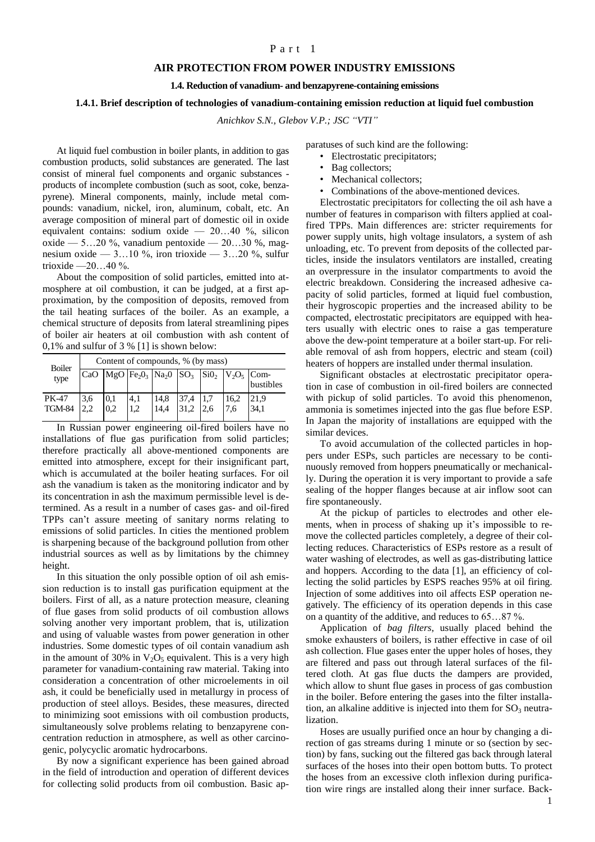## Part 1

## **AIR PROTECTION FROM POWER INDUSTRY EMISSIONS**

**1.4. Reduction of vanadium- and benzapyrene-containing emissions**

## **1.4.1. Brief description of technologies of vanadium-containing emission reduction at liquid fuel combustion**

*Anichkov S.N., Glebov V.P.; JSC "VTI"*

At liquid fuel combustion in boiler plants, in addition to gas combustion products, solid substances are generated. The last consist of mineral fuel components and organic substances products of incomplete combustion (such as soot, coke, benzapyrene). Mineral components, mainly, include metal compounds: vanadium, nickel, iron, aluminum, cobalt, etc. An average composition of mineral part of domestic oil in oxide equivalent contains: sodium oxide — 20…40 %, silicon oxide — 5…20 %, vanadium pentoxide — 20…30 %, magnesium oxide —  $3...10\%$ , iron trioxide —  $3...20\%$ , sulfur trioxide  $-20...40\%$ .

About the composition of solid particles, emitted into atmosphere at oil combustion, it can be judged, at a first approximation, by the composition of deposits, removed from the tail heating surfaces of the boiler. As an example, a chemical structure of deposits from lateral streamlining pipes of boiler air heaters at oil combustion with ash content of 0,1% and sulfur of 3 % [1] is shown below:

| <b>Boiler</b><br>type  | Content of compounds, % (by mass) |            |                                                                                                                               |              |      |            |             |              |
|------------------------|-----------------------------------|------------|-------------------------------------------------------------------------------------------------------------------------------|--------------|------|------------|-------------|--------------|
|                        | CaO                               |            | $\log$ O Fe <sub>2</sub> O <sub>3</sub> Na <sub>2</sub> O SO <sub>3</sub> SiO <sub>2</sub> V <sub>2</sub> O <sub>5</sub> Com- |              |      |            |             | bustibles    |
| PK-47<br><b>TGM-84</b> | 3,6<br>22                         | 0.1<br>0.2 | 4,1<br>1.2                                                                                                                    | 14,8<br>14,4 | 37,4 | 1,7<br>2,6 | 16.2<br>7.6 | 21,9<br>34.1 |

In Russian power engineering oil-fired boilers have no installations of flue gas purification from solid particles; therefore practically all above-mentioned components are emitted into atmosphere, except for their insignificant part, which is accumulated at the boiler heating surfaces. For oil ash the vanadium is taken as the monitoring indicator and by its concentration in ash the maximum permissible level is determined. As a result in a number of cases gas- and oil-fired TPPs can't assure meeting of sanitary norms relating to emissions of solid particles. In cities the mentioned problem is sharpening because of the background pollution from other industrial sources as well as by limitations by the chimney height.

In this situation the only possible option of oil ash emission reduction is to install gas purification equipment at the boilers. First of all, as a nature protection measure, cleaning of flue gases from solid products of oil combustion allows solving another very important problem, that is, utilization and using of valuable wastes from power generation in other industries. Some domestic types of oil contain vanadium ash in the amount of 30% in  $V_2O_5$  equivalent. This is a very high parameter for vanadium-containing raw material. Taking into consideration a concentration of other microelements in oil ash, it could be beneficially used in metallurgy in process of production of steel alloys. Besides, these measures, directed to minimizing soot emissions with oil combustion products, simultaneously solve problems relating to benzapyrene concentration reduction in atmosphere, as well as other carcinogenic, polycyclic aromatic hydrocarbons.

By now a significant experience has been gained abroad in the field of introduction and operation of different devices for collecting solid products from oil combustion. Basic apparatuses of such kind are the following:

- Electrostatic precipitators;
- Bag collectors;
- Mechanical collectors;
- Combinations of the above-mentioned devices.

Electrostatic precipitators for collecting the oil ash have a number of features in comparison with filters applied at coalfired TPPs. Main differences are: stricter requirements for power supply units, high voltage insulators, a system of ash unloading, etc. To prevent from deposits of the collected particles, inside the insulators ventilators are installed, creating an overpressure in the insulator compartments to avoid the electric breakdown. Considering the increased adhesive capacity of solid particles, formed at liquid fuel combustion, their hygroscopic properties and the increased ability to be compacted, electrostatic precipitators are equipped with heaters usually with electric ones to raise a gas temperature above the dew-point temperature at a boiler start-up. For reliable removal of ash from hoppers, electric and steam (coil) heaters of hoppers are installed under thermal insulation.

Significant obstacles at electrostatic precipitator operation in case of combustion in oil-fired boilers are connected with pickup of solid particles. To avoid this phenomenon, ammonia is sometimes injected into the gas flue before ESP. In Japan the majority of installations are equipped with the similar devices.

To avoid accumulation of the collected particles in hoppers under ESPs, such particles are necessary to be continuously removed from hoppers pneumatically or mechanically. During the operation it is very important to provide a safe sealing of the hopper flanges because at air inflow soot can fire spontaneously.

At the pickup of particles to electrodes and other elements, when in process of shaking up it's impossible to remove the collected particles completely, a degree of their collecting reduces. Characteristics of ESPs restore as a result of water washing of electrodes, as well as gas-distributing lattice and hoppers. According to the data [1], an efficiency of collecting the solid particles by ESPS reaches 95% at oil firing. Injection of some additives into oil affects ESP operation negatively. The efficiency of its operation depends in this case on a quantity of the additive, and reduces to 65…87 %.

Application of *bag filters*, usually placed behind the smoke exhausters of boilers, is rather effective in case of oil ash collection. Flue gases enter the upper holes of hoses, they are filtered and pass out through lateral surfaces of the filtered cloth. At gas flue ducts the dampers are provided, which allow to shunt flue gases in process of gas combustion in the boiler. Before entering the gases into the filter installation, an alkaline additive is injected into them for  $SO_3$  neutralization.

Hoses are usually purified once an hour by changing a direction of gas streams during 1 minute or so (section by section) by fans, sucking out the filtered gas back through lateral surfaces of the hoses into their open bottom butts. To protect the hoses from an excessive cloth inflexion during purification wire rings are installed along their inner surface. Back-